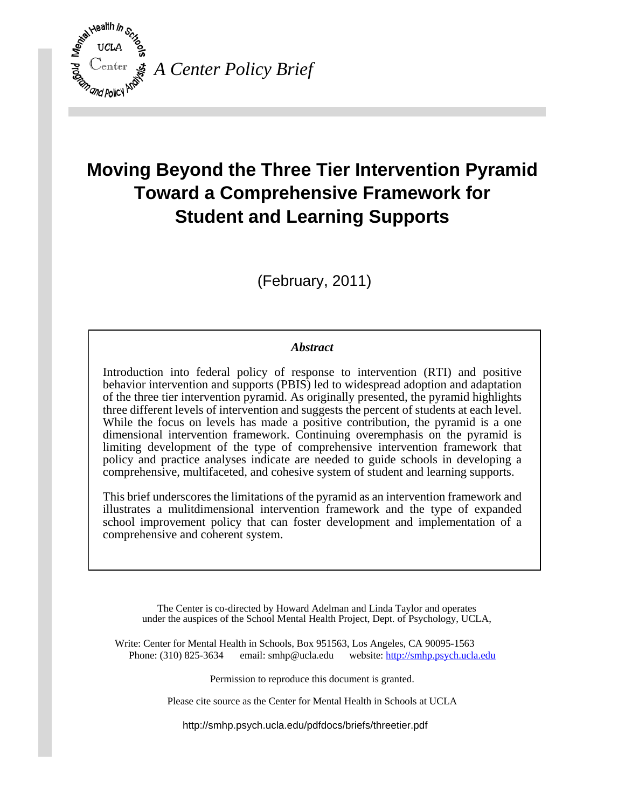

# **Moving Beyond the Three Tier Intervention Pyramid Toward a Comprehensive Framework for Student and Learning Supports**

(February, 2011)

# *Abstract*

Introduction into federal policy of response to intervention (RTI) and positive behavior intervention and supports (PBIS) led to widespread adoption and adaptation of the three tier intervention pyramid. As originally presented, the pyramid highlights three different levels of intervention and suggests the percent of students at each level. While the focus on levels has made a positive contribution, the pyramid is a one dimensional intervention framework. Continuing overemphasis on the pyramid is limiting development of the type of comprehensive intervention framework that policy and practice analyses indicate are needed to guide schools in developing a comprehensive, multifaceted, and cohesive system of student and learning supports.

This brief underscores the limitations of the pyramid as an intervention framework and illustrates a mulitdimensional intervention framework and the type of expanded school improvement policy that can foster development and implementation of a comprehensive and coherent system.

The Center is co-directed by Howard Adelman and Linda Taylor and operates under the auspices of the School Mental Health Project, Dept. of Psychology, UCLA,

Write: Center for Mental Health in Schools, Box 951563, Los Angeles, CA 90095-1563 Phone: (310) 825-3634 email: [smhp@ucla.edu](mailto:smhp@ucla.edu) website:<http://smhp.psych.ucla.edu>

Permission to reproduce this document is granted.

Please cite source as the Center for Mental Health in Schools at UCLA

<http://smhp.psych.ucla.edu/pdfdocs/briefs/threetier.pdf>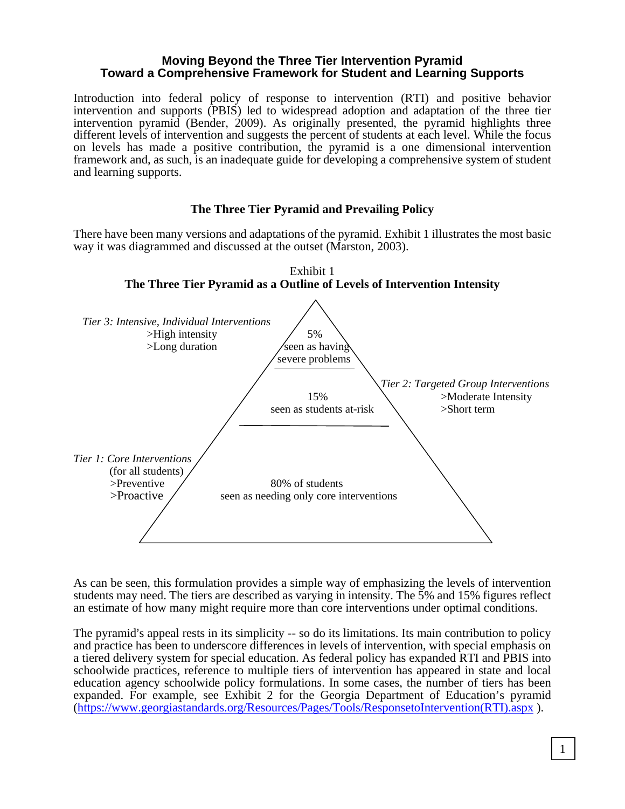## **Moving Beyond the Three Tier Intervention Pyramid Toward a Comprehensive Framework for Student and Learning Supports**

Introduction into federal policy of response to intervention (RTI) and positive behavior intervention and supports (PBIS) led to widespread adoption and adaptation of the three tier intervention pyramid (Bender, 2009). As originally presented, the pyramid highlights three different levels of intervention and suggests the percent of students at each level. While the focus on levels has made a positive contribution, the pyramid is a one dimensional intervention framework and, as such, is an inadequate guide for developing a comprehensive system of student and learning supports.

# **The Three Tier Pyramid and Prevailing Policy**

There have been many versions and adaptations of the pyramid. Exhibit 1 illustrates the most basic way it was diagrammed and discussed at the outset (Marston, 2003).



As can be seen, this formulation provides a simple way of emphasizing the levels of intervention students may need. The tiers are described as varying in intensity. The 5% and 15% figures reflect an estimate of how many might require more than core interventions under optimal conditions.

The pyramid's appeal rests in its simplicity -- so do its limitations. Its main contribution to policy and practice has been to underscore differences in levels of intervention, with special emphasis on a tiered delivery system for special education. As federal policy has expanded RTI and PBIS into schoolwide practices, reference to multiple tiers of intervention has appeared in state and local education agency schoolwide policy formulations. In some cases, the number of tiers has been expanded. For example, see Exhibit 2 for the Georgia Department of Education's pyramid ([https://www.georgiastandards.org/Resources/Pages/Tools/ResponsetoIntervention\(R](https://www.georgiastandards.org/Resources/Pages/Tools/ResponsetoIntervention)TI).aspx ).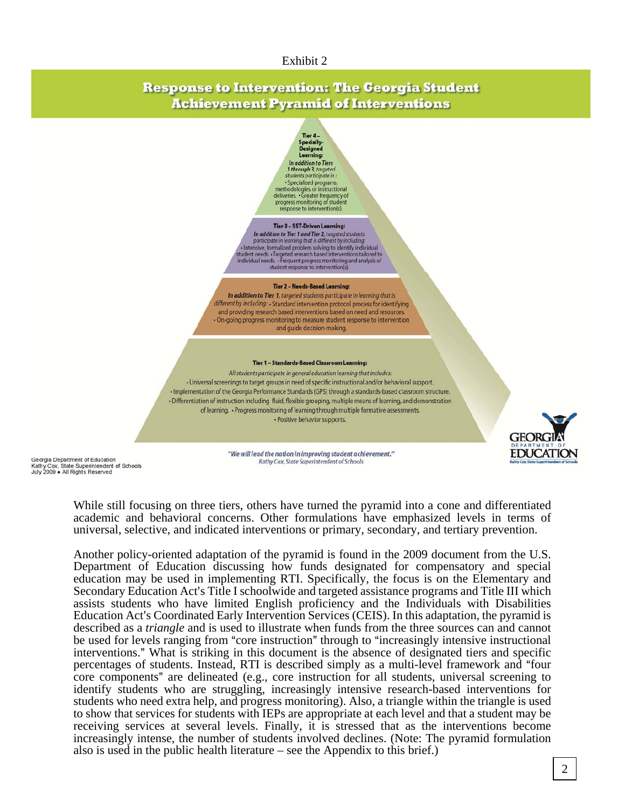#### Exhibit 2

# **Response to Intervention: The Georgia Student Achievement Pyramid of Interventions**

Tier 4-Specially-<br>Designed<br>Learning: In addition to Tiers 1 through 3, targeted<br>students participate in

successign dependent.<br>
Specialized programs,<br>
restodologies, or instructional<br>
deliveries. Greater frequency of<br>
progress monitoring of student<br>
response to intervention(s).

#### Tier 3 - SST-Driven Learning:

In addition to Tier 1 and Tier 2, targeted students<br>participate in learning that is different by including: punsipe in the formulation of the same of the problem solving to identify individual<br>student needs. - Targeted research based interventions tailored to<br>individual needs. - Trequent progress monitoring and analysis of<br>indiv

#### Tier 2 - Needs-Based Learning:

In addition to Tier 1, targeted students participate in learning that is different by including: · Standard intervention protocol process for identifying and providing research based interventions based on need and resources · On-going progress monitoring to measure student response to intervention and guide decision-making.

#### Tier 1 - Standards-Based Classroom Learning:

All students participate in general education learning that includes: · Universal screenings to target groups in need of specific instructional and/or behavioral support. . Implementation of the Georgia Performance Standards (GPS) through a standards-based classroom structure. · Differentiation of instruction including fluid, flexible grouping, multiple means of learning, and demonstration of learning. • Progress monitoring of learning through multiple formative assessments. · Positive behavior supports.



Georgia Department of Education Kathy Cox, State Superintendent of Schools<br>July 2009 • All Rights Reserved "We will lead the nation in improving student achievement." Kathy Cox, State Superintendent of Schools

While still focusing on three tiers, others have turned the pyramid into a cone and differentiated academic and behavioral concerns. Other formulations have emphasized levels in terms of universal, selective, and indicated interventions or primary, secondary, and tertiary prevention.

Another policy-oriented adaptation of the pyramid is found in the 2009 document from the U.S. Department of Education discussing how funds designated for compensatory and special education may be used in implementing RTI. Specifically, the focus is on the Elementary and Secondary Education Act's Title I schoolwide and targeted assistance programs and Title III which assists students who have limited English proficiency and the Individuals with Disabilities Education Act's Coordinated Early Intervention Services (CEIS). In this adaptation, the pyramid is described as a *triangle* and is used to illustrate when funds from the three sources can and cannot be used for levels ranging from "core instruction" through to "increasingly intensive instructional interventions." What is striking in this document is the absence of designated tiers and specific percentages of students. Instead, RTI is described simply as a multi-level framework and "four core components" are delineated (e.g., core instruction for all students, universal screening to identify students who are struggling, increasingly intensive research-based interventions for students who need extra help, and progress monitoring). Also, a triangle within the triangle is used to show that services for students with IEPs are appropriate at each level and that a student may be receiving services at several levels. Finally, it is stressed that as the interventions become increasingly intense, the number of students involved declines. (Note: The pyramid formulation also is used in the public health literature – see the Appendix to this brief.)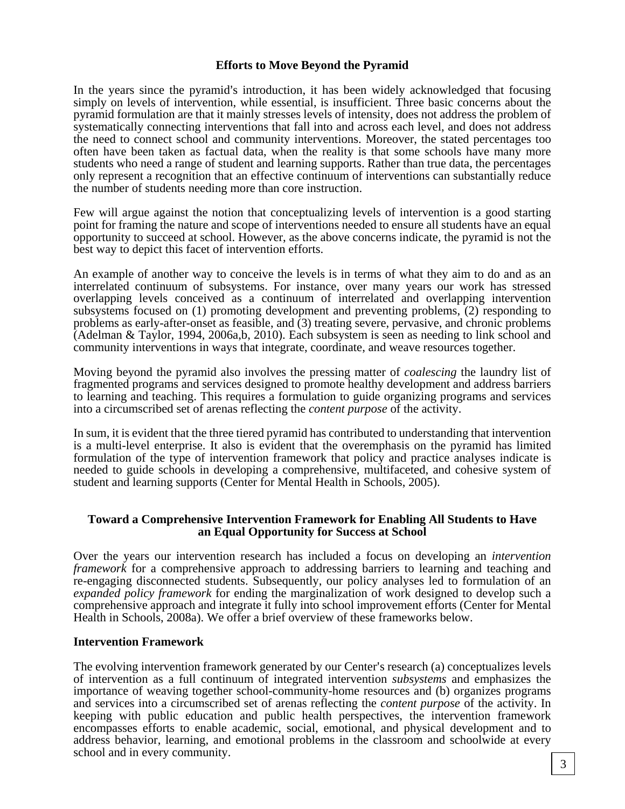# **Efforts to Move Beyond the Pyramid**

In the years since the pyramid's introduction, it has been widely acknowledged that focusing simply on levels of intervention, while essential, is insufficient. Three basic concerns about the pyramid formulation are that it mainly stresses levels of intensity, does not address the problem of systematically connecting interventions that fall into and across each level, and does not address the need to connect school and community interventions. Moreover, the stated percentages too often have been taken as factual data, when the reality is that some schools have many more students who need a range of student and learning supports. Rather than true data, the percentages only represent a recognition that an effective continuum of interventions can substantially reduce the number of students needing more than core instruction.

Few will argue against the notion that conceptualizing levels of intervention is a good starting point for framing the nature and scope of interventions needed to ensure all students have an equal opportunity to succeed at school. However, as the above concerns indicate, the pyramid is not the best way to depict this facet of intervention efforts.

An example of another way to conceive the levels is in terms of what they aim to do and as an interrelated continuum of subsystems. For instance, over many years our work has stressed overlapping levels conceived as a continuum of interrelated and overlapping intervention subsystems focused on (1) promoting development and preventing problems, (2) responding to problems as early-after-onset as feasible, and (3) treating severe, pervasive, and chronic problems (Adelman & Taylor, 1994, 2006a,b, 2010). Each subsystem is seen as needing to link school and community interventions in ways that integrate, coordinate, and weave resources together.

Moving beyond the pyramid also involves the pressing matter of *coalescing* the laundry list of fragmented programs and services designed to promote healthy development and address barriers to learning and teaching. This requires a formulation to guide organizing programs and services into a circumscribed set of arenas reflecting the *content purpose* of the activity.

In sum, it is evident that the three tiered pyramid has contributed to understanding that intervention is a multi-level enterprise. It also is evident that the overemphasis on the pyramid has limited formulation of the type of intervention framework that policy and practice analyses indicate is needed to guide schools in developing a comprehensive, multifaceted, and cohesive system of student and learning supports (Center for Mental Health in Schools, 2005).

## **Toward a Comprehensive Intervention Framework for Enabling All Students to Have an Equal Opportunity for Success at School**

Over the years our intervention research has included a focus on developing an *intervention framework* for a comprehensive approach to addressing barriers to learning and teaching and re-engaging disconnected students. Subsequently, our policy analyses led to formulation of an *expanded policy framework* for ending the marginalization of work designed to develop such a comprehensive approach and integrate it fully into school improvement efforts (Center for Mental Health in Schools, 2008a). We offer a brief overview of these frameworks below.

#### **Intervention Framework**

The evolving intervention framework generated by our Center's research (a) conceptualizes levels of intervention as a full continuum of integrated intervention *subsystems* and emphasizes the importance of weaving together school-community-home resources and (b) organizes programs and services into a circumscribed set of arenas reflecting the *content purpose* of the activity. In keeping with public education and public health perspectives, the intervention framework encompasses efforts to enable academic, social, emotional, and physical development and to address behavior, learning, and emotional problems in the classroom and schoolwide at every school and in every community.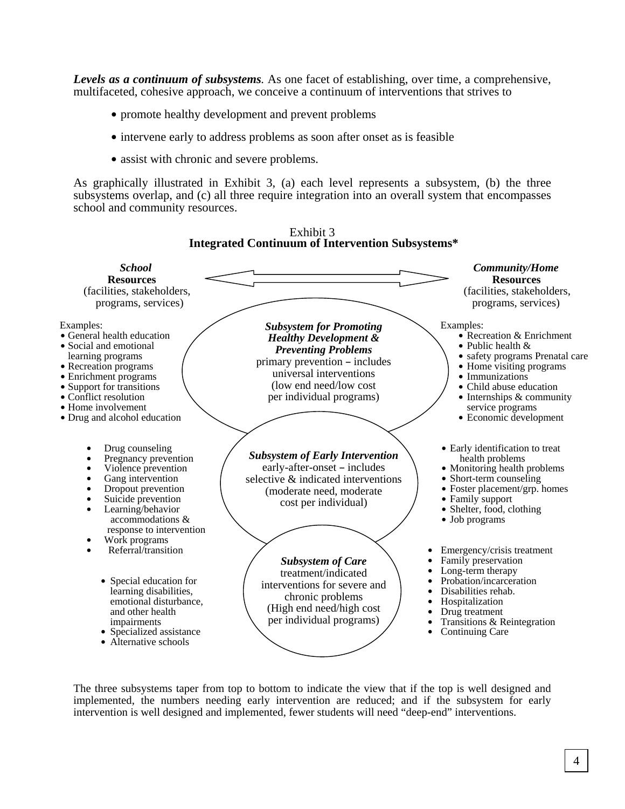*Levels as a continuum of subsystems.* As one facet of establishing, over time, a comprehensive, multifaceted, cohesive approach, we conceive a continuum of interventions that strives to

- promote healthy development and prevent problems
- intervene early to address problems as soon after onset as is feasible
- assist with chronic and severe problems.

As graphically illustrated in Exhibit 3, (a) each level represents a subsystem, (b) the three subsystems overlap, and (c) all three require integration into an overall system that encompasses school and community resources.



Exhibit 3

The three subsystems taper from top to bottom to indicate the view that if the top is well designed and implemented, the numbers needing early intervention are reduced; and if the subsystem for early intervention is well designed and implemented, fewer students will need "deep-end" interventions.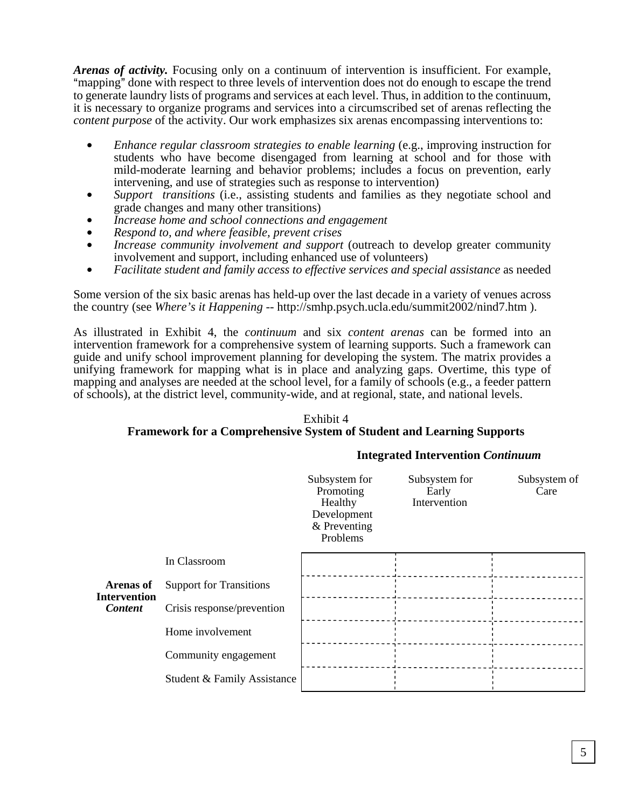*Arenas of activity.* Focusing only on a continuum of intervention is insufficient. For example, "mapping" done with respect to three levels of intervention does not do enough to escape the trend to generate laundry lists of programs and services at each level. Thus, in addition to the continuum, it is necessary to organize programs and services into a circumscribed set of arenas reflecting the *content purpose* of the activity. Our work emphasizes six arenas encompassing interventions to:

- *Enhance regular classroom strategies to enable learning* (e.g., improving instruction for students who have become disengaged from learning at school and for those with mild-moderate learning and behavior problems; includes a focus on prevention, early intervening, and use of strategies such as response to intervention)
- Support transitions (i.e., assisting students and families as they negotiate school and grade changes and many other transitions)
- Increase home and school connections and engagement
- $$
- *Increase community involvement and support* (outreach to develop greater community involvement and support, including enhanced use of volunteers)
- \$ *Facilitate student and family access to effective services and special assistance* as needed

Some version of the six basic arenas has held-up over the last decade in a variety of venues across the country (see *Where's it Happening* -- [http://smhp.psych.ucla.edu/summit2002/nind7.htm \).](http://smhp.psych.ucla.edu/summit2002/nind7.htm) 

As illustrated in Exhibit 4, the *continuum* and six *content arenas* can be formed into an intervention framework for a comprehensive system of learning supports. Such a framework can guide and unify school improvement planning for developing the system. The matrix provides a unifying framework for mapping what is in place and analyzing gaps. Overtime, this type of mapping and analyses are needed at the school level, for a family of schools (e.g., a feeder pattern of schools), at the district level, community-wide, and at regional, state, and national levels.

## Exhibit 4 **Framework for a Comprehensive System of Student and Learning Supports**

#### **Integrated Intervention** *Continuum*

|                                                           |                                | Subsystem for<br>Promoting<br>Healthy<br>Development<br>& Preventing<br>Problems | Subsystem for<br>Early<br>Intervention | Subsystem of<br>Care |
|-----------------------------------------------------------|--------------------------------|----------------------------------------------------------------------------------|----------------------------------------|----------------------|
| <b>Arenas of</b><br><b>Intervention</b><br><b>Content</b> | In Classroom                   |                                                                                  |                                        |                      |
|                                                           | <b>Support for Transitions</b> |                                                                                  |                                        |                      |
|                                                           | Crisis response/prevention     |                                                                                  |                                        |                      |
|                                                           | Home involvement               |                                                                                  |                                        |                      |
|                                                           | Community engagement           |                                                                                  |                                        |                      |
|                                                           | Student & Family Assistance    |                                                                                  |                                        |                      |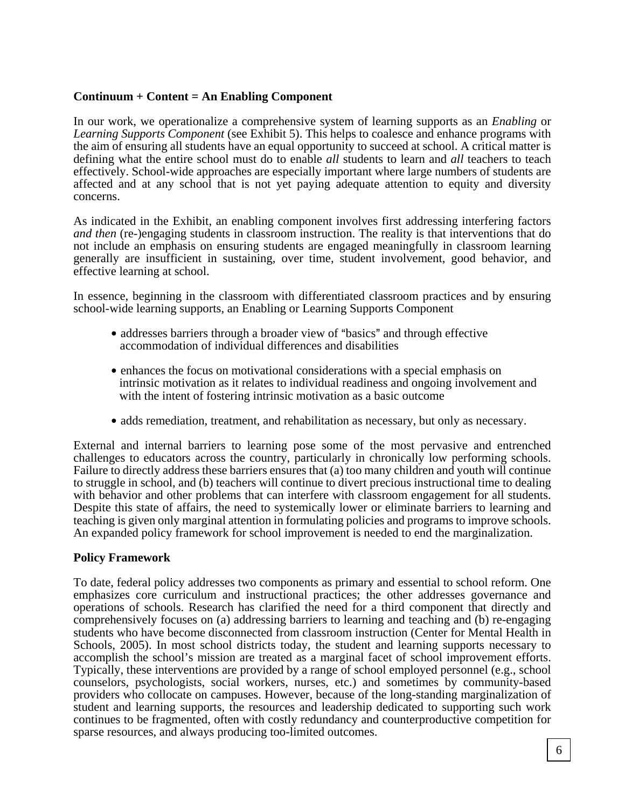# **Continuum + Content = An Enabling Component**

In our work, we operationalize a comprehensive system of learning supports as an *Enabling* or *Learning Supports Component* (see Exhibit 5). This helps to coalesce and enhance programs with the aim of ensuring all students have an equal opportunity to succeed at school. A critical matter is defining what the entire school must do to enable *all* students to learn and *all* teachers to teach effectively. School-wide approaches are especially important where large numbers of students are affected and at any school that is not yet paying adequate attention to equity and diversity concerns.

As indicated in the Exhibit, an enabling component involves first addressing interfering factors *and then* (re-)engaging students in classroom instruction. The reality is that interventions that do not include an emphasis on ensuring students are engaged meaningfully in classroom learning generally are insufficient in sustaining, over time, student involvement, good behavior, and effective learning at school.

In essence, beginning in the classroom with differentiated classroom practices and by ensuring school-wide learning supports, an Enabling or Learning Supports Component

- addresses barriers through a broader view of "basics" and through effective accommodation of individual differences and disabilities
- enhances the focus on motivational considerations with a special emphasis on intrinsic motivation as it relates to individual readiness and ongoing involvement and with the intent of fostering intrinsic motivation as a basic outcome
- adds remediation, treatment, and rehabilitation as necessary, but only as necessary.

External and internal barriers to learning pose some of the most pervasive and entrenched challenges to educators across the country, particularly in chronically low performing schools. Failure to directly address these barriers ensures that (a) too many children and youth will continue to struggle in school, and (b) teachers will continue to divert precious instructional time to dealing with behavior and other problems that can interfere with classroom engagement for all students. Despite this state of affairs, the need to systemically lower or eliminate barriers to learning and teaching is given only marginal attention in formulating policies and programs to improve schools. An expanded policy framework for school improvement is needed to end the marginalization.

# **Policy Framework**

To date, federal policy addresses two components as primary and essential to school reform. One emphasizes core curriculum and instructional practices; the other addresses governance and operations of schools. Research has clarified the need for a third component that directly and comprehensively focuses on (a) addressing barriers to learning and teaching and (b) re-engaging students who have become disconnected from classroom instruction (Center for Mental Health in Schools, 2005). In most school districts today, the student and learning supports necessary to accomplish the school's mission are treated as a marginal facet of school improvement efforts. Typically, these interventions are provided by a range of school employed personnel (e.g., school counselors, psychologists, social workers, nurses, etc.) and sometimes by community-based providers who collocate on campuses. However, because of the long-standing marginalization of student and learning supports, the resources and leadership dedicated to supporting such work continues to be fragmented, often with costly redundancy and counterproductive competition for sparse resources, and always producing too-limited outcomes.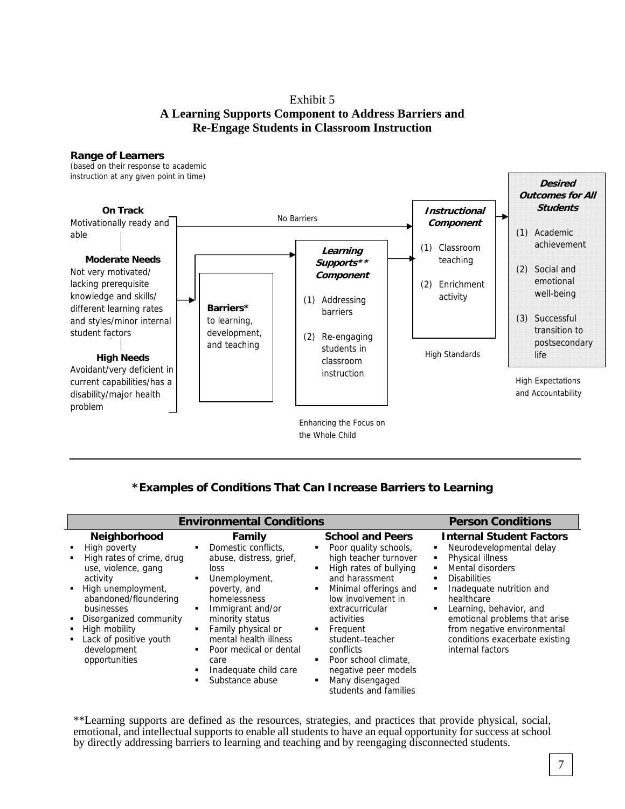# Exhibit 5 **A Learning Supports Component to Address Barriers and Re-Engage Students in Classroom Instruction**

#### **Range of Learners**

(based on their response to academic instruction at any given point in time)



# **\*Examples of Conditions That Can Increase Barriers to Learning**

| <b>Environmental Conditions</b>                                                                                                                                                                                                                                            | <b>Person Conditions</b>                                                                                                                                                                                                                                                              |                                                                                                                                                                                                                                                                                                                                                                        |                                                                                                                                                                                                                                                                                                                                         |
|----------------------------------------------------------------------------------------------------------------------------------------------------------------------------------------------------------------------------------------------------------------------------|---------------------------------------------------------------------------------------------------------------------------------------------------------------------------------------------------------------------------------------------------------------------------------------|------------------------------------------------------------------------------------------------------------------------------------------------------------------------------------------------------------------------------------------------------------------------------------------------------------------------------------------------------------------------|-----------------------------------------------------------------------------------------------------------------------------------------------------------------------------------------------------------------------------------------------------------------------------------------------------------------------------------------|
| <b>Neighborhood</b><br>High poverty<br>High rates of crime, drug<br>use, violence, gang<br>activity<br>High unemployment,<br>٠<br>abandoned/floundering<br>businesses<br>Disorganized community<br>High mobility<br>Lack of positive youth<br>development<br>opportunities | Family<br>Domestic conflicts.<br>abuse, distress, grief,<br>loss<br>Unemployment,<br>poverty, and<br>homelessness<br>Immigrant and/or<br>minority status<br>Family physical or<br>mental health illness<br>Poor medical or dental<br>care<br>Inadequate child care<br>Substance abuse | <b>School and Peers</b><br>Poor quality schools,<br>٠<br>high teacher turnover<br>High rates of bullying<br>and harassment<br>Minimal offerings and<br>٠<br>low involvement in<br>extracurricular<br>activities<br>Frequent<br>٠<br>student-teacher<br>conflicts<br>Poor school climate.<br>٠<br>negative peer models<br>Many disengaged<br>٠<br>students and families | <b>Internal Student Factors</b><br>Neurodevelopmental delay<br>Physical illness<br>Mental disorders<br><b>Disabilities</b><br>Inadequate nutrition and<br>$\blacksquare$<br>healthcare<br>Learning, behavior, and<br>emotional problems that arise<br>from negative environmental<br>conditions exacerbate existing<br>internal factors |

\*\*Learning supports are defined as the resources, strategies, and practices that provide physical, social, emotional, and intellectual supports to enable all students to have an equal opportunity for success at school by directly addressing barriers to learning and teaching and by reengaging disconnected students.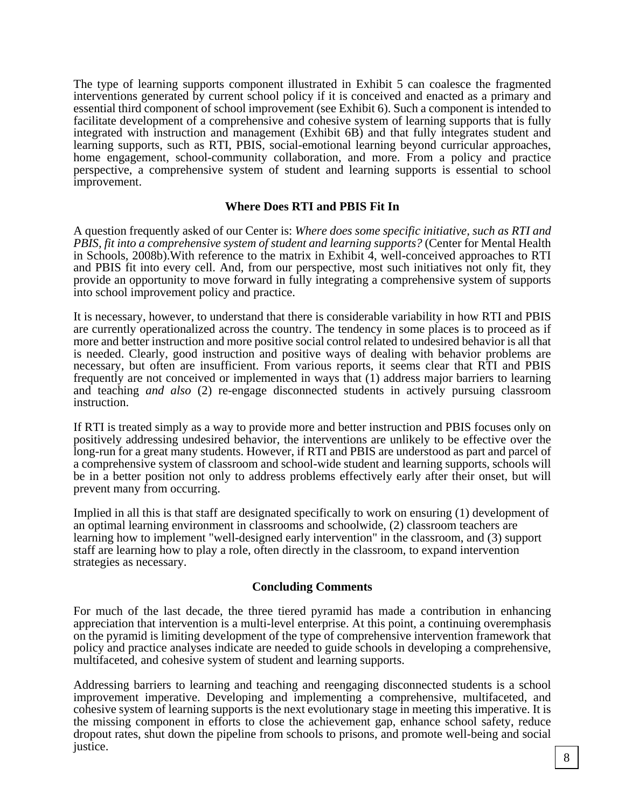The type of learning supports component illustrated in Exhibit 5 can coalesce the fragmented interventions generated by current school policy if it is conceived and enacted as a primary and essential third component of school improvement (see Exhibit 6). Such a component is intended to facilitate development of a comprehensive and cohesive system of learning supports that is fully integrated with instruction and management (Exhibit 6B) and that fully integrates student and learning supports, such as RTI, PBIS, social-emotional learning beyond curricular approaches, home engagement, school-community collaboration, and more. From a policy and practice perspective, a comprehensive system of student and learning supports is essential to school improvement.

#### **Where Does RTI and PBIS Fit In**

A question frequently asked of our Center is: *Where does some specific initiative, such as RTI and PBIS, fit into a comprehensive system of student and learning supports?* (Center for Mental Health in Schools, 2008b).With reference to the matrix in Exhibit 4, well-conceived approaches to RTI and PBIS fit into every cell. And, from our perspective, most such initiatives not only fit, they provide an opportunity to move forward in fully integrating a comprehensive system of supports into school improvement policy and practice.

It is necessary, however, to understand that there is considerable variability in how RTI and PBIS are currently operationalized across the country. The tendency in some places is to proceed as if more and better instruction and more positive social control related to undesired behavior is all that is needed. Clearly, good instruction and positive ways of dealing with behavior problems are necessary, but often are insufficient. From various reports, it seems clear that RTI and PBIS frequently are not conceived or implemented in ways that (1) address major barriers to learning and teaching *and also* (2) re-engage disconnected students in actively pursuing classroom instruction.

If RTI is treated simply as a way to provide more and better instruction and PBIS focuses only on positively addressing undesired behavior, the interventions are unlikely to be effective over the long-run for a great many students. However, if RTI and PBIS are understood as part and parcel of a comprehensive system of classroom and school-wide student and learning supports, schools will be in a better position not only to address problems effectively early after their onset, but will prevent many from occurring.

Implied in all this is that staff are designated specifically to work on ensuring (1) development of an optimal learning environment in classrooms and schoolwide, (2) classroom teachers are learning how to implement "well-designed early intervention" in the classroom, and (3) support staff are learning how to play a role, often directly in the classroom, to expand intervention strategies as necessary.

#### **Concluding Comments**

For much of the last decade, the three tiered pyramid has made a contribution in enhancing appreciation that intervention is a multi-level enterprise. At this point, a continuing overemphasis on the pyramid is limiting development of the type of comprehensive intervention framework that policy and practice analyses indicate are needed to guide schools in developing a comprehensive, multifaceted, and cohesive system of student and learning supports.

Addressing barriers to learning and teaching and reengaging disconnected students is a school improvement imperative. Developing and implementing a comprehensive, multifaceted, and cohesive system of learning supports is the next evolutionary stage in meeting this imperative. It is the missing component in efforts to close the achievement gap, enhance school safety, reduce dropout rates, shut down the pipeline from schools to prisons, and promote well-being and social justice.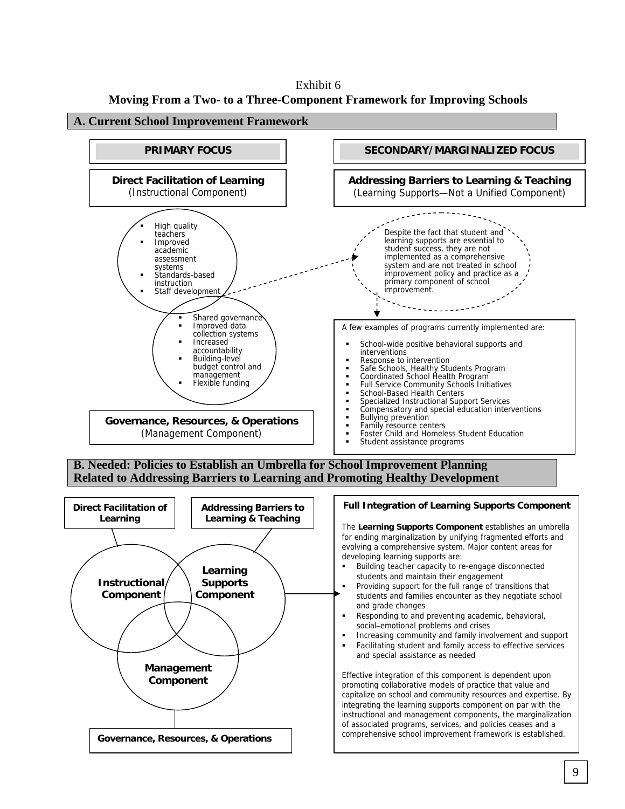Exhibit 6 **Moving From a Two- to a Three-Component Framework for Improving Schools** 

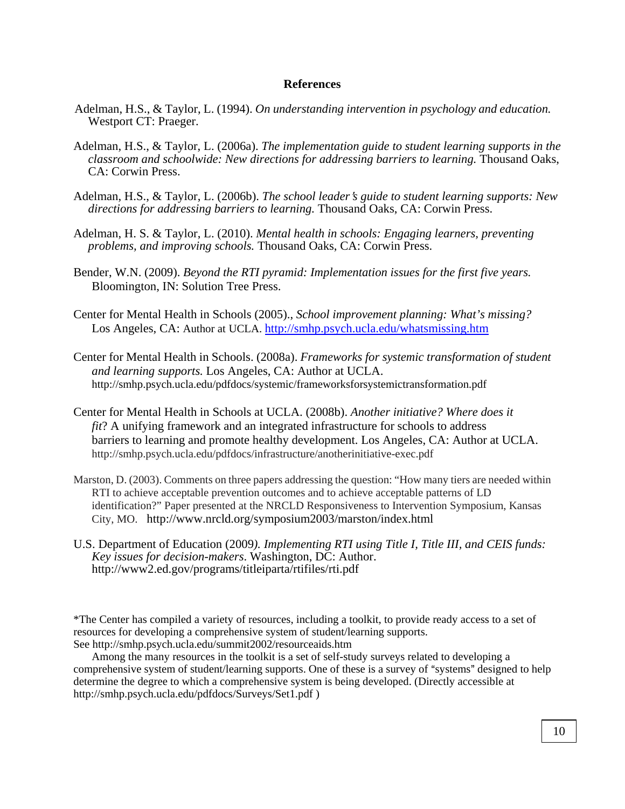#### **References**

- Adelman, H.S., & Taylor, L. (1994). *On understanding intervention in psychology and education.* Westport CT: Praeger.
- Adelman, H.S., & Taylor, L. (2006a). *The implementation guide to student learning supports in the classroom and schoolwide: New directions for addressing barriers to learning.* Thousand Oaks, CA: Corwin Press.
- Adelman, H.S., & Taylor, L. (2006b). *The school leader's guide to student learning supports: New directions for addressing barriers to learning.* Thousand Oaks, CA: Corwin Press.
- Adelman, H. S. & Taylor, L. (2010). *Mental health in schools: Engaging learners, preventing problems, and improving schools.* Thousand Oaks, CA: Corwin Press.
- Bender, W.N. (2009). *Beyond the RTI pyramid: Implementation issues for the first five years.*  Bloomington, IN: Solution Tree Press.
- Center for Mental Health in Schools (2005)., *School improvement planning: What's missing?*  Los Angeles, CA: Author at UCLA. <http://smhp.psych.ucla.edu/whatsmissing.htm>
- Center for Mental Health in Schools. (2008a). *Frameworks for systemic transformation of student and learning supports.* Los Angeles, CA: Author at UCLA. <http://smhp.psych.ucla.edu/pdfdocs/systemic/frameworksforsystemictransformation.pdf>
- Center for Mental Health in Schools at UCLA. (2008b). *Another initiative? Where does it fit*? A unifying framework and an integrated infrastructure for schools to address barriers to learning and promote healthy development. Los Angeles, CA: Author at UCLA. <http://smhp.psych.ucla.edu/pdfdocs/infrastructure/anotherinitiative-exec.pdf>
- Marston, D. (2003). Comments on three papers addressing the question: "How many tiers are needed within RTI to achieve acceptable prevention outcomes and to achieve acceptable patterns of LD identification?" Paper presented at the NRCLD Responsiveness to Intervention Symposium, Kansas City, MO. <http://www.nrcld.org/symposium2003/marston/index.html>
- U.S. Department of Education (2009*). Implementing RTI using Title I, Title III, and CEIS funds: Key issues for decision-makers*. Washington, DC: Author. <http://www2.ed.gov/programs/titleiparta/rtifiles/rti.pdf>

\*The Center has compiled a variety of resources, including a toolkit, to provide ready access to a set of resources for developing a comprehensive system of student/learning supports. See <http://smhp.psych.ucla.edu/summit2002/resourceaids.htm>

 Among the many resources in the toolkit is a set of self-study surveys related to developing a comprehensive system of student/learning supports. One of these is a survey of "systems" designed to help determine the degree to which a comprehensive system is being developed. (Directly accessible at [http://smhp.psych.ucla.edu/pdfdocs/Surveys/Set1.pdf \)](http://smhp.psych.ucla.edu/pdfdocs/Surveys/Set1.pdf)